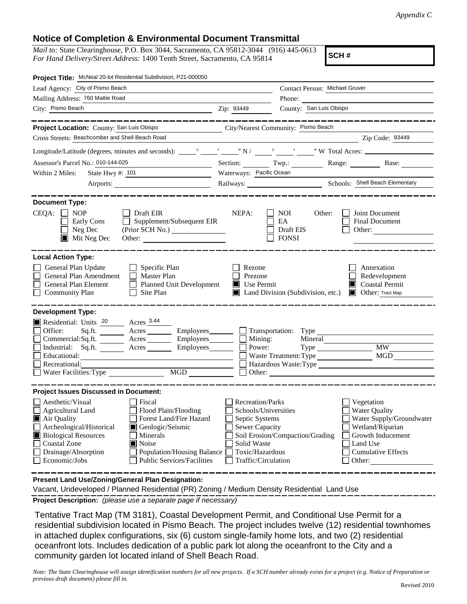*Appendix C*

## **Notice of Completion & Environmental Document Transmittal**

*Mail to:* State Clearinghouse, P.O. Box 3044, Sacramento, CA 95812-3044 (916) 445-0613 *For Hand Delivery/Street Address:* 1400 Tenth Street, Sacramento, CA 95814

**SCH #**

| Project Title: McNeal 20-lot Residential Subdivision, P21-000050                                                                                                                                                                                                                                                                                                       |                                                                                                                                              |                                                         |                                                                                                                                                            |  |  |  |
|------------------------------------------------------------------------------------------------------------------------------------------------------------------------------------------------------------------------------------------------------------------------------------------------------------------------------------------------------------------------|----------------------------------------------------------------------------------------------------------------------------------------------|---------------------------------------------------------|------------------------------------------------------------------------------------------------------------------------------------------------------------|--|--|--|
| Lead Agency: City of Pismo Beach                                                                                                                                                                                                                                                                                                                                       |                                                                                                                                              | Contact Person: Michael Gruver                          |                                                                                                                                                            |  |  |  |
| Mailing Address: 760 Mattie Road                                                                                                                                                                                                                                                                                                                                       |                                                                                                                                              | Phone:                                                  |                                                                                                                                                            |  |  |  |
| City: Pismo Beach                                                                                                                                                                                                                                                                                                                                                      | Zip: 93449                                                                                                                                   | County: San Luis Obispo                                 |                                                                                                                                                            |  |  |  |
|                                                                                                                                                                                                                                                                                                                                                                        |                                                                                                                                              |                                                         | _____________                                                                                                                                              |  |  |  |
| Project Location: County: San Luis Obispo                                                                                                                                                                                                                                                                                                                              |                                                                                                                                              | City/Nearest Community: Pismo Beach                     |                                                                                                                                                            |  |  |  |
| Cross Streets: Beachcomber and Shell Beach Road                                                                                                                                                                                                                                                                                                                        |                                                                                                                                              |                                                         | Zip Code: 93449                                                                                                                                            |  |  |  |
|                                                                                                                                                                                                                                                                                                                                                                        |                                                                                                                                              |                                                         |                                                                                                                                                            |  |  |  |
| Assessor's Parcel No.: 010-144-025<br><u> 1989 - Johann Barbara, martxa al</u>                                                                                                                                                                                                                                                                                         |                                                                                                                                              |                                                         | Section: Twp.: Range: Base:                                                                                                                                |  |  |  |
| Within 2 Miles:                                                                                                                                                                                                                                                                                                                                                        | Waterways: Pacific Ocean                                                                                                                     |                                                         |                                                                                                                                                            |  |  |  |
|                                                                                                                                                                                                                                                                                                                                                                        |                                                                                                                                              |                                                         |                                                                                                                                                            |  |  |  |
| <b>Document Type:</b><br>$CEQA: \Box NP$<br>Draft EIR<br>Supplement/Subsequent EIR<br>Early Cons<br>$\mathsf{L}$<br>Neg Dec<br>$\blacksquare$ Mit Neg Dec<br>Other:                                                                                                                                                                                                    | NEPA:                                                                                                                                        | <b>NOI</b><br>Other:<br>EA<br>Draft EIS<br><b>FONSI</b> | Joint Document<br><b>Final Document</b><br>Other:                                                                                                          |  |  |  |
| <b>Local Action Type:</b><br>General Plan Update<br>Specific Plan<br>General Plan Amendment<br>$\Box$ Master Plan<br>General Plan Element<br>Planned Unit Development<br><b>Community Plan</b><br>Site Plan                                                                                                                                                            | Rezone<br>Prezone<br>Use Permit                                                                                                              | Land Division (Subdivision, etc.)                       | Annexation<br>Redevelopment<br>Coastal Permit<br><b>Other:</b> Tract Map                                                                                   |  |  |  |
| <b>Development Type:</b><br>Residential: Units 20 Acres 3.44                                                                                                                                                                                                                                                                                                           |                                                                                                                                              |                                                         |                                                                                                                                                            |  |  |  |
| Office:<br>Sq.ft. $\qquad$<br>Acres<br>Employees________                                                                                                                                                                                                                                                                                                               |                                                                                                                                              |                                                         |                                                                                                                                                            |  |  |  |
| Commercial:Sq.ft.<br>Employees________<br>$\frac{\text{Acres}}{\text{Acres}}$<br>Industrial: Sq.ft. Acres<br>Employees________                                                                                                                                                                                                                                         |                                                                                                                                              | $\Box$ Mining:<br>Mineral<br>Power:                     | <b>MW</b>                                                                                                                                                  |  |  |  |
| Educational:                                                                                                                                                                                                                                                                                                                                                           |                                                                                                                                              |                                                         | MGD                                                                                                                                                        |  |  |  |
| Recreational:                                                                                                                                                                                                                                                                                                                                                          |                                                                                                                                              |                                                         | Hazardous Waste:Type                                                                                                                                       |  |  |  |
| MGD<br>Water Facilities: Type                                                                                                                                                                                                                                                                                                                                          |                                                                                                                                              |                                                         |                                                                                                                                                            |  |  |  |
| <b>Project Issues Discussed in Document:</b>                                                                                                                                                                                                                                                                                                                           |                                                                                                                                              |                                                         |                                                                                                                                                            |  |  |  |
| Aesthetic/Visual<br>Fiscal<br>Flood Plain/Flooding<br>Agricultural Land<br>Forest Land/Fire Hazard<br>Air Quality<br>Archeological/Historical<br>Geologic/Seismic<br><b>Biological Resources</b><br>Minerals<br><b>Coastal Zone</b><br>$\blacksquare$ Noise<br>Drainage/Absorption<br>Population/Housing Balance<br>Economic/Jobs<br><b>Public Services/Facilities</b> | Recreation/Parks<br>Schools/Universities<br>Septic Systems<br><b>Sewer Capacity</b><br>Solid Waste<br>Toxic/Hazardous<br>Traffic/Circulation | Soil Erosion/Compaction/Grading                         | Vegetation<br><b>Water Quality</b><br>Water Supply/Groundwater<br>Wetland/Riparian<br>Growth Inducement<br>Land Use<br><b>Cumulative Effects</b><br>Other: |  |  |  |
| Present Land Use/Zoning/General Plan Designation:                                                                                                                                                                                                                                                                                                                      |                                                                                                                                              |                                                         |                                                                                                                                                            |  |  |  |

Vacant, Undeveloped / Planned Residential (PR) Zoning / Medium Density Residential Land Use

**Project Description:** *(please use a separate page if necessary)*

 Tentative Tract Map (TM 3181), Coastal Development Permit, and Conditional Use Permit for a residential subdivision located in Pismo Beach. The project includes twelve (12) residential townhomes in attached duplex configurations, six (6) custom single-family home lots, and two (2) residential oceanfront lots. Includes dedication of a public park lot along the oceanfront to the City and a community garden lot located inland of Shell Beach Road.

*Note: The State Clearinghouse will assign identification numbers for all new projects. If a SCH number already exists for a project (e.g. Notice of Preparation or previous draft document) please fill in.*